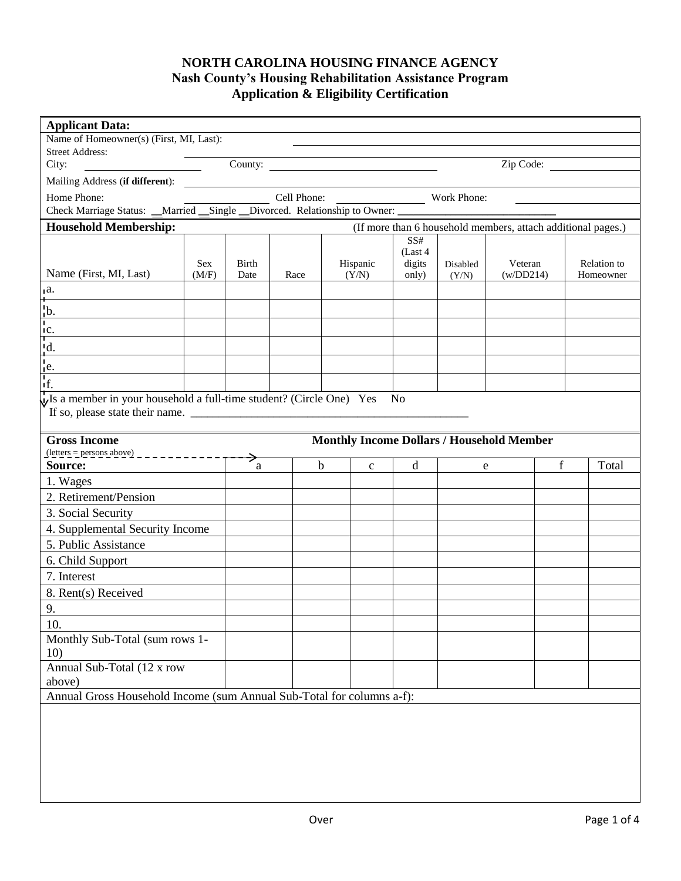# **NORTH CAROLINA HOUSING FINANCE AGENCY Nash County's Housing Rehabilitation Assistance Program Application & Eligibility Certification**

| <b>Applicant Data:</b>                                                                               |            |       |                                                                                                                                                                                                                                      |                             |                 |          |                                                              |   |             |
|------------------------------------------------------------------------------------------------------|------------|-------|--------------------------------------------------------------------------------------------------------------------------------------------------------------------------------------------------------------------------------------|-----------------------------|-----------------|----------|--------------------------------------------------------------|---|-------------|
| Name of Homeowner(s) (First, MI, Last):                                                              |            |       |                                                                                                                                                                                                                                      |                             |                 |          |                                                              |   |             |
| <b>Street Address:</b>                                                                               |            |       |                                                                                                                                                                                                                                      |                             |                 |          |                                                              |   |             |
| City:                                                                                                |            |       |                                                                                                                                                                                                                                      | County:                     |                 |          | Zip Code:                                                    |   |             |
| Mailing Address (if different):                                                                      |            |       | <u>and the contract of the contract of the contract of the contract of the contract of the contract of the contract of the contract of the contract of the contract of the contract of the contract of the contract of the contr</u> |                             |                 |          |                                                              |   |             |
| Home Phone:                                                                                          |            |       |                                                                                                                                                                                                                                      | Cell Phone: Work Phone:     |                 |          |                                                              |   |             |
| Check Marriage Status: __Married __Single __Divorced. Relationship to Owner: _______________________ |            |       |                                                                                                                                                                                                                                      |                             |                 |          |                                                              |   |             |
| <b>Household Membership:</b>                                                                         |            |       |                                                                                                                                                                                                                                      |                             |                 |          | (If more than 6 household members, attach additional pages.) |   |             |
|                                                                                                      |            |       |                                                                                                                                                                                                                                      |                             | SS#<br>(Last 4) |          |                                                              |   |             |
|                                                                                                      | <b>Sex</b> | Birth |                                                                                                                                                                                                                                      | Hispanic                    | digits          | Disabled | Veteran                                                      |   | Relation to |
| Name (First, MI, Last)                                                                               | (M/F)      | Date  | Race                                                                                                                                                                                                                                 | (Y/N)                       | only)           | (Y/N)    | (w/DD214)                                                    |   | Homeowner   |
| $a$ .                                                                                                |            |       |                                                                                                                                                                                                                                      |                             |                 |          |                                                              |   |             |
| $\frac{1}{1}$ b.                                                                                     |            |       |                                                                                                                                                                                                                                      |                             |                 |          |                                                              |   |             |
| $\frac{1}{1}$                                                                                        |            |       |                                                                                                                                                                                                                                      |                             |                 |          |                                                              |   |             |
| <u> 1989 - Johann Barn, mars ann an t-</u>                                                           |            |       |                                                                                                                                                                                                                                      |                             |                 |          |                                                              |   |             |
| $\frac{d}{\left  \frac{e}{f} \right }$<br>the contract of the contract of the contract of            |            |       |                                                                                                                                                                                                                                      |                             |                 |          |                                                              |   |             |
|                                                                                                      |            |       |                                                                                                                                                                                                                                      |                             |                 |          |                                                              |   |             |
| $\sqrt{V}$ a member in your household a full-time student? (Circle One) Yes                          |            |       |                                                                                                                                                                                                                                      |                             | No              |          |                                                              |   |             |
|                                                                                                      |            |       |                                                                                                                                                                                                                                      |                             |                 |          |                                                              |   |             |
|                                                                                                      |            |       |                                                                                                                                                                                                                                      |                             |                 |          |                                                              |   |             |
| <b>Gross Income</b><br>$(\text{letters} = \text{persons} \cdot \text{above})$ _ _ _ _ _ _ _ _ _      |            |       |                                                                                                                                                                                                                                      |                             |                 |          | <b>Monthly Income Dollars / Household Member</b>             |   |             |
| Source:                                                                                              |            | a     |                                                                                                                                                                                                                                      | $\mathbf b$<br>$\mathbf{C}$ | d               | e        |                                                              | f | Total       |
| 1. Wages                                                                                             |            |       |                                                                                                                                                                                                                                      |                             |                 |          |                                                              |   |             |
| 2. Retirement/Pension                                                                                |            |       |                                                                                                                                                                                                                                      |                             |                 |          |                                                              |   |             |
| 3. Social Security                                                                                   |            |       |                                                                                                                                                                                                                                      |                             |                 |          |                                                              |   |             |
| 4. Supplemental Security Income                                                                      |            |       |                                                                                                                                                                                                                                      |                             |                 |          |                                                              |   |             |
| 5. Public Assistance                                                                                 |            |       |                                                                                                                                                                                                                                      |                             |                 |          |                                                              |   |             |
| 6. Child Support                                                                                     |            |       |                                                                                                                                                                                                                                      |                             |                 |          |                                                              |   |             |
| 7. Interest                                                                                          |            |       |                                                                                                                                                                                                                                      |                             |                 |          |                                                              |   |             |
| 8. Rent(s) Received                                                                                  |            |       |                                                                                                                                                                                                                                      |                             |                 |          |                                                              |   |             |
| 9.                                                                                                   |            |       |                                                                                                                                                                                                                                      |                             |                 |          |                                                              |   |             |
| 10.                                                                                                  |            |       |                                                                                                                                                                                                                                      |                             |                 |          |                                                              |   |             |
| Monthly Sub-Total (sum rows 1-                                                                       |            |       |                                                                                                                                                                                                                                      |                             |                 |          |                                                              |   |             |
| 10)                                                                                                  |            |       |                                                                                                                                                                                                                                      |                             |                 |          |                                                              |   |             |
| Annual Sub-Total (12 x row                                                                           |            |       |                                                                                                                                                                                                                                      |                             |                 |          |                                                              |   |             |
| above)                                                                                               |            |       |                                                                                                                                                                                                                                      |                             |                 |          |                                                              |   |             |
| Annual Gross Household Income (sum Annual Sub-Total for columns a-f):                                |            |       |                                                                                                                                                                                                                                      |                             |                 |          |                                                              |   |             |
|                                                                                                      |            |       |                                                                                                                                                                                                                                      |                             |                 |          |                                                              |   |             |
|                                                                                                      |            |       |                                                                                                                                                                                                                                      |                             |                 |          |                                                              |   |             |
|                                                                                                      |            |       |                                                                                                                                                                                                                                      |                             |                 |          |                                                              |   |             |
|                                                                                                      |            |       |                                                                                                                                                                                                                                      |                             |                 |          |                                                              |   |             |
|                                                                                                      |            |       |                                                                                                                                                                                                                                      |                             |                 |          |                                                              |   |             |
|                                                                                                      |            |       |                                                                                                                                                                                                                                      |                             |                 |          |                                                              |   |             |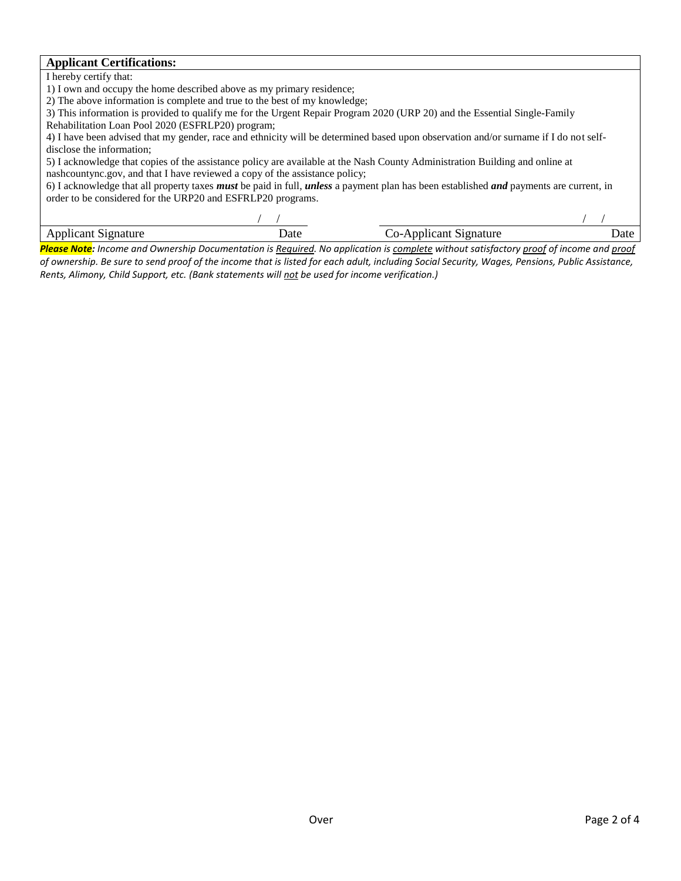#### **Applicant Certifications:**

I hereby certify that:

1) I own and occupy the home described above as my primary residence;

2) The above information is complete and true to the best of my knowledge;

3) This information is provided to qualify me for the Urgent Repair Program 2020 (URP 20) and the Essential Single-Family

Rehabilitation Loan Pool 2020 (ESFRLP20) program;

4) I have been advised that my gender, race and ethnicity will be determined based upon observation and/or surname if I do not selfdisclose the information;

5) I acknowledge that copies of the assistance policy are available at the Nash County Administration Building and online at nashcountync.gov, and that I have reviewed a copy of the assistance policy;

6) I acknowledge that all property taxes *must* be paid in full, *unless* a payment plan has been established *and* payments are current, in order to be considered for the URP20 and ESFRLP20 programs.

| . | nature<br>л.<br>.<br>.<br>.<br>$ -$ | Jate<br>. |
|---|-------------------------------------|-----------|
|   |                                     |           |

*Please Note: Income and Ownership Documentation is Required. No application is complete without satisfactory proof of income and proof of ownership. Be sure to send proof of the income that is listed for each adult, including Social Security, Wages, Pensions, Public Assistance, Rents, Alimony, Child Support, etc. (Bank statements will not be used for income verification.)*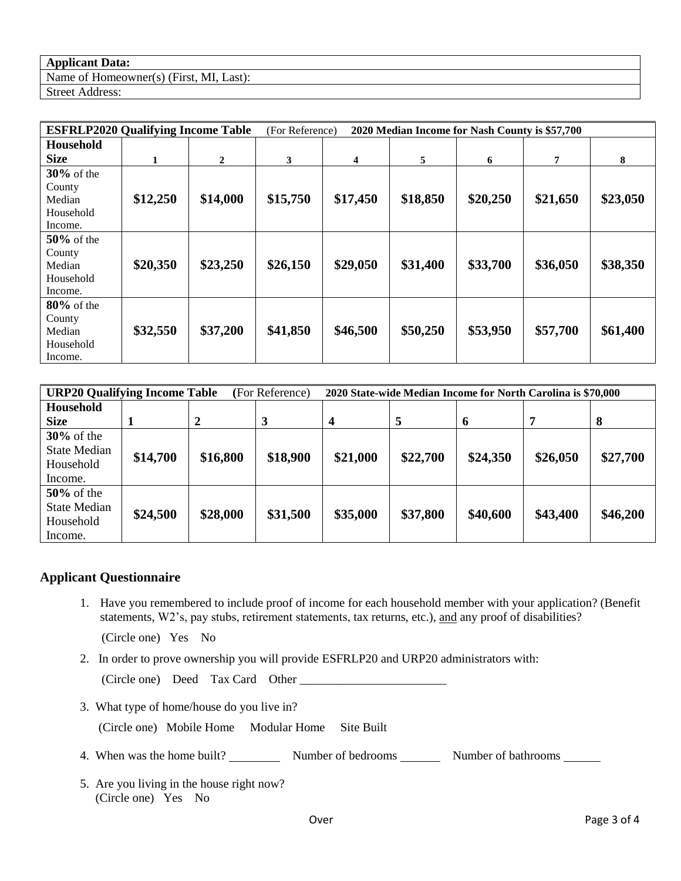#### **Applicant Data:**

Name of Homeowner(s) (First, MI, Last): Street Address:

| <b>ESFRLP2020 Qualifying Income Table</b>                 |          | (For Reference)<br>2020 Median Income for Nash County is \$57,700 |          |          |          |          |          |          |
|-----------------------------------------------------------|----------|-------------------------------------------------------------------|----------|----------|----------|----------|----------|----------|
| <b>Household</b>                                          |          |                                                                   |          |          |          |          |          |          |
| <b>Size</b>                                               | 1        | $\mathbf{2}$                                                      | 3        | 4        | 5        | 6        | 7        | 8        |
| $30\%$ of the<br>County<br>Median<br>Household<br>Income. | \$12,250 | \$14,000                                                          | \$15,750 | \$17,450 | \$18,850 | \$20,250 | \$21,650 | \$23,050 |
| $50\%$ of the<br>County<br>Median<br>Household<br>Income. | \$20,350 | \$23,250                                                          | \$26,150 | \$29,050 | \$31,400 | \$33,700 | \$36,050 | \$38,350 |
| $80\%$ of the<br>County<br>Median<br>Household<br>Income. | \$32,550 | \$37,200                                                          | \$41,850 | \$46,500 | \$50,250 | \$53,950 | \$57,700 | \$61,400 |

| <b>URP20 Qualifying Income Table</b><br>(For Reference) |          |          | 2020 State-wide Median Income for North Carolina is \$70,000 |                  |          |          |          |          |
|---------------------------------------------------------|----------|----------|--------------------------------------------------------------|------------------|----------|----------|----------|----------|
| Household                                               |          |          |                                                              |                  |          |          |          |          |
| <b>Size</b>                                             |          | 2        | 3                                                            | $\boldsymbol{4}$ | 5        | 6        | 7        | 8        |
| $30\%$ of the                                           |          |          |                                                              |                  |          |          |          |          |
| <b>State Median</b>                                     | \$14,700 | \$16,800 | \$18,900                                                     | \$21,000         | \$22,700 | \$24,350 | \$26,050 | \$27,700 |
| Household                                               |          |          |                                                              |                  |          |          |          |          |
| Income.                                                 |          |          |                                                              |                  |          |          |          |          |
| $50\%$ of the                                           |          |          |                                                              |                  |          |          |          |          |
| <b>State Median</b>                                     | \$24,500 | \$28,000 | \$31,500                                                     | \$35,000         | \$37,800 | \$40,600 | \$43,400 | \$46,200 |
| Household                                               |          |          |                                                              |                  |          |          |          |          |
| Income.                                                 |          |          |                                                              |                  |          |          |          |          |

## **Applicant Questionnaire**

1. Have you remembered to include proof of income for each household member with your application? (Benefit statements, W2's, pay stubs, retirement statements, tax returns, etc.), and any proof of disabilities?

(Circle one) Yes No

2. In order to prove ownership you will provide ESFRLP20 and URP20 administrators with:

(Circle one) Deed Tax Card Other \_\_\_\_\_\_\_\_\_\_\_\_\_\_\_\_\_\_\_\_\_\_\_\_

3. What type of home/house do you live in?

(Circle one) Mobile Home Modular Home Site Built

- 4. When was the home built? Number of bedrooms Number of bathrooms Number of bathrooms
- 5. Are you living in the house right now? (Circle one) Yes No